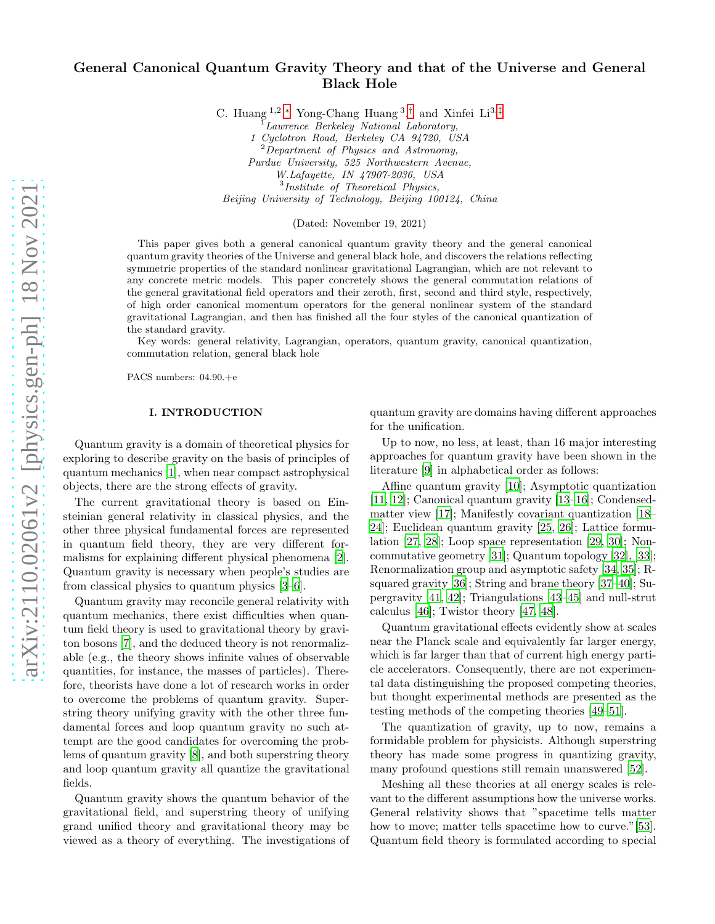# General Canonical Quantum Gravity Theory and that of the Universe and General Black Hole

C. Huang  $1,2,^*$  Yong-Chang Huang  $3,^{\dagger}$  and Xinfei Li $3,^{\dagger}$ 

Lawrence Berkeley National Laboratory,

1 Cyclotron Road, Berkeley CA 94720, USA <sup>2</sup>Department of Physics and Astronomy, Purdue University, 525 Northwestern Avenue, W.Lafayette, IN 47907-2036, USA

3 Institute of Theoretical Physics,

Beijing University of Technology, Beijing 100124, China

(Dated: November 19, 2021)

This paper gives both a general canonical quantum gravity theory and the general canonical quantum gravity theories of the Universe and general black hole, and discovers the relations reflecting symmetric properties of the standard nonlinear gravitational Lagrangian, which are not relevant to any concrete metric models. This paper concretely shows the general commutation relations of the general gravitational field operators and their zeroth, first, second and third style, respectively, of high order canonical momentum operators for the general nonlinear system of the standard gravitational Lagrangian, and then has finished all the four styles of the canonical quantization of the standard gravity.

Key words: general relativity, Lagrangian, operators, quantum gravity, canonical quantization, commutation relation, general black hole

PACS numbers: 04.90.+e

## I. INTRODUCTION

Quantum gravity is a domain of theoretical physics for exploring to describe gravity on the basis of principles of quantum mechanics [\[1](#page-8-3)], when near compact astrophysical objects, there are the strong effects of gravity.

The current gravitational theory is based on Einsteinian general relativity in classical physics, and the other three physical fundamental forces are represented in quantum field theory, they are very different formalisms for explaining different physical phenomena [\[2\]](#page-8-4). Quantum gravity is necessary when people's studies are from classical physics to quantum physics [\[3](#page-8-5)[–6\]](#page-8-6).

Quantum gravity may reconcile general relativity with quantum mechanics, there exist difficulties when quantum field theory is used to gravitational theory by graviton bosons [\[7\]](#page-8-7), and the deduced theory is not renormalizable (e.g., the theory shows infinite values of observable quantities, for instance, the masses of particles). Therefore, theorists have done a lot of research works in order to overcome the problems of quantum gravity. Superstring theory unifying gravity with the other three fundamental forces and loop quantum gravity no such attempt are the good candidates for overcoming the problems of quantum gravity [\[8\]](#page-8-8), and both superstring theory and loop quantum gravity all quantize the gravitational fields.

Quantum gravity shows the quantum behavior of the gravitational field, and superstring theory of unifying grand unified theory and gravitational theory may be viewed as a theory of everything. The investigations of quantum gravity are domains having different approaches for the unification.

Up to now, no less, at least, than 16 major interesting approaches for quantum gravity have been shown in the literature [\[9\]](#page-8-9) in alphabetical order as follows:

Affine quantum gravity [\[10\]](#page-8-10); Asymptotic quantization [\[11,](#page-8-11) [12\]](#page-8-12); Canonical quantum gravity [\[13](#page-8-13)[–16](#page-8-14)]; Condensedmatter view [\[17\]](#page-8-15); Manifestly covariant quantization [\[18](#page-8-16)– [24](#page-8-17)]; Euclidean quantum gravity [\[25,](#page-8-18) [26](#page-8-19)]; Lattice formulation [\[27](#page-8-20), [28\]](#page-8-21); Loop space representation [\[29](#page-8-22), [30](#page-8-23)]; Noncommutative geometry [\[31\]](#page-8-24); Quantum topology [\[32\]](#page-9-0), [\[33\]](#page-9-1); Renormalization group and asymptotic safety [\[34,](#page-9-2) [35](#page-9-3)]; Rsquared gravity [\[36\]](#page-9-4); String and brane theory [\[37](#page-9-5)[–40\]](#page-9-6); Supergravity [\[41,](#page-9-7) [42\]](#page-9-8); Triangulations [\[43](#page-9-9)[–45](#page-9-10)] and null-strut calculus [\[46\]](#page-9-11); Twistor theory [\[47,](#page-9-12) [48\]](#page-9-13).

Quantum gravitational effects evidently show at scales near the Planck scale and equivalently far larger energy, which is far larger than that of current high energy particle accelerators. Consequently, there are not experimental data distinguishing the proposed competing theories, but thought experimental methods are presented as the testing methods of the competing theories [\[49](#page-9-14)[–51\]](#page-9-15).

The quantization of gravity, up to now, remains a formidable problem for physicists. Although superstring theory has made some progress in quantizing gravity, many profound questions still remain unanswered [\[52\]](#page-9-16).

Meshing all these theories at all energy scales is relevant to the different assumptions how the universe works. General relativity shows that "spacetime tells matter how to move; matter tells spacetime how to curve."[\[53\]](#page-9-17). Quantum field theory is formulated according to special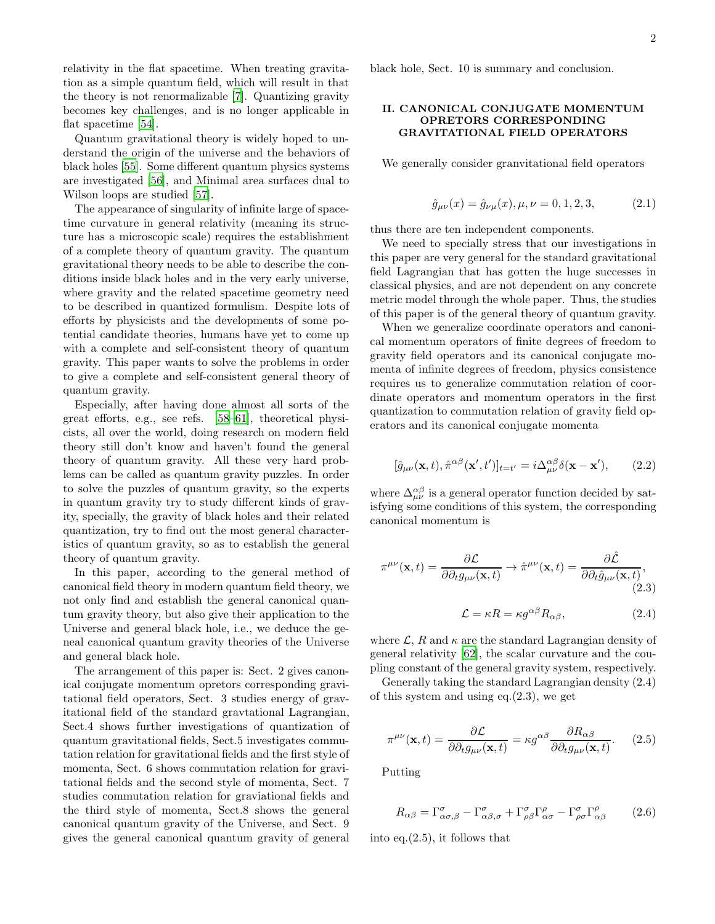relativity in the flat spacetime. When treating gravitation as a simple quantum field, which will result in that the theory is not renormalizable [\[7](#page-8-7)]. Quantizing gravity becomes key challenges, and is no longer applicable in flat spacetime [\[54\]](#page-9-18).

Quantum gravitational theory is widely hoped to understand the origin of the universe and the behaviors of black holes [\[55](#page-9-19)]. Some different quantum physics systems are investigated [\[56](#page-9-20)], and Minimal area surfaces dual to Wilson loops are studied [\[57\]](#page-9-21).

The appearance of singularity of infinite large of spacetime curvature in general relativity (meaning its structure has a microscopic scale) requires the establishment of a complete theory of quantum gravity. The quantum gravitational theory needs to be able to describe the conditions inside black holes and in the very early universe, where gravity and the related spacetime geometry need to be described in quantized formulism. Despite lots of efforts by physicists and the developments of some potential candidate theories, humans have yet to come up with a complete and self-consistent theory of quantum gravity. This paper wants to solve the problems in order to give a complete and self-consistent general theory of quantum gravity.

Especially, after having done almost all sorts of the great efforts, e.g., see refs. [\[58](#page-9-22)[–61\]](#page-9-23), theoretical physicists, all over the world, doing research on modern field theory still don't know and haven't found the general theory of quantum gravity. All these very hard problems can be called as quantum gravity puzzles. In order to solve the puzzles of quantum gravity, so the experts in quantum gravity try to study different kinds of gravity, specially, the gravity of black holes and their related quantization, try to find out the most general characteristics of quantum gravity, so as to establish the general theory of quantum gravity.

In this paper, according to the general method of canonical field theory in modern quantum field theory, we not only find and establish the general canonical quantum gravity theory, but also give their application to the Universe and general black hole, i.e., we deduce the geneal canonical quantum gravity theories of the Universe and general black hole.

The arrangement of this paper is: Sect. 2 gives canonical conjugate momentum opretors corresponding gravitational field operators, Sect. 3 studies energy of gravitational field of the standard gravtational Lagrangian, Sect.4 shows further investigations of quantization of quantum gravitational fields, Sect.5 investigates commutation relation for gravitational fields and the first style of momenta, Sect. 6 shows commutation relation for gravitational fields and the second style of momenta, Sect. 7 studies commutation relation for graviational fields and the third style of momenta, Sect.8 shows the general canonical quantum gravity of the Universe, and Sect. 9 gives the general canonical quantum gravity of general black hole, Sect. 10 is summary and conclusion.

### II. CANONICAL CONJUGATE MOMENTUM OPRETORS CORRESPONDING GRAVITATIONAL FIELD OPERATORS

We generally consider granvitational field operators

$$
\hat{g}_{\mu\nu}(x) = \hat{g}_{\nu\mu}(x), \mu, \nu = 0, 1, 2, 3,
$$
\n(2.1)

thus there are ten independent components.

We need to specially stress that our investigations in this paper are very general for the standard gravitational field Lagrangian that has gotten the huge successes in classical physics, and are not dependent on any concrete metric model through the whole paper. Thus, the studies of this paper is of the general theory of quantum gravity.

When we generalize coordinate operators and canonical momentum operators of finite degrees of freedom to gravity field operators and its canonical conjugate momenta of infinite degrees of freedom, physics consistence requires us to generalize commutation relation of coordinate operators and momentum operators in the first quantization to commutation relation of gravity field operators and its canonical conjugate momenta

$$
[\hat{g}_{\mu\nu}(\mathbf{x},t),\hat{\pi}^{\alpha\beta}(\mathbf{x}',t')]_{t=t'}=i\Delta^{\alpha\beta}_{\mu\nu}\delta(\mathbf{x}-\mathbf{x}'),\qquad(2.2)
$$

where  $\Delta_{\mu\nu}^{\alpha\beta}$  is a general operator function decided by satisfying some conditions of this system, the corresponding canonical momentum is

$$
\pi^{\mu\nu}(\mathbf{x},t) = \frac{\partial \mathcal{L}}{\partial \partial_t g_{\mu\nu}(\mathbf{x},t)} \to \hat{\pi}^{\mu\nu}(\mathbf{x},t) = \frac{\partial \hat{\mathcal{L}}}{\partial \partial_t \hat{g}_{\mu\nu}(\mathbf{x},t)},
$$
\n(2.3)\n
$$
\mathcal{L} = \kappa R = \kappa g^{\alpha\beta} R_{\alpha\beta},
$$
\n(2.4)

where  $\mathcal{L}$ , R and  $\kappa$  are the standard Lagrangian density of general relativity [\[62](#page-9-24)], the scalar curvature and the coupling constant of the general gravity system, respectively.

Generally taking the standard Lagrangian density (2.4) of this system and using eq.(2.3), we get

$$
\pi^{\mu\nu}(\mathbf{x},t) = \frac{\partial \mathcal{L}}{\partial \partial_t g_{\mu\nu}(\mathbf{x},t)} = \kappa g^{\alpha\beta} \frac{\partial R_{\alpha\beta}}{\partial \partial_t g_{\mu\nu}(\mathbf{x},t)}.
$$
 (2.5)

Putting

$$
R_{\alpha\beta} = \Gamma^{\sigma}_{\alpha\sigma,\beta} - \Gamma^{\sigma}_{\alpha\beta,\sigma} + \Gamma^{\sigma}_{\rho\beta}\Gamma^{\rho}_{\alpha\sigma} - \Gamma^{\sigma}_{\rho\sigma}\Gamma^{\rho}_{\alpha\beta} \tag{2.6}
$$

into eq. $(2.5)$ , it follows that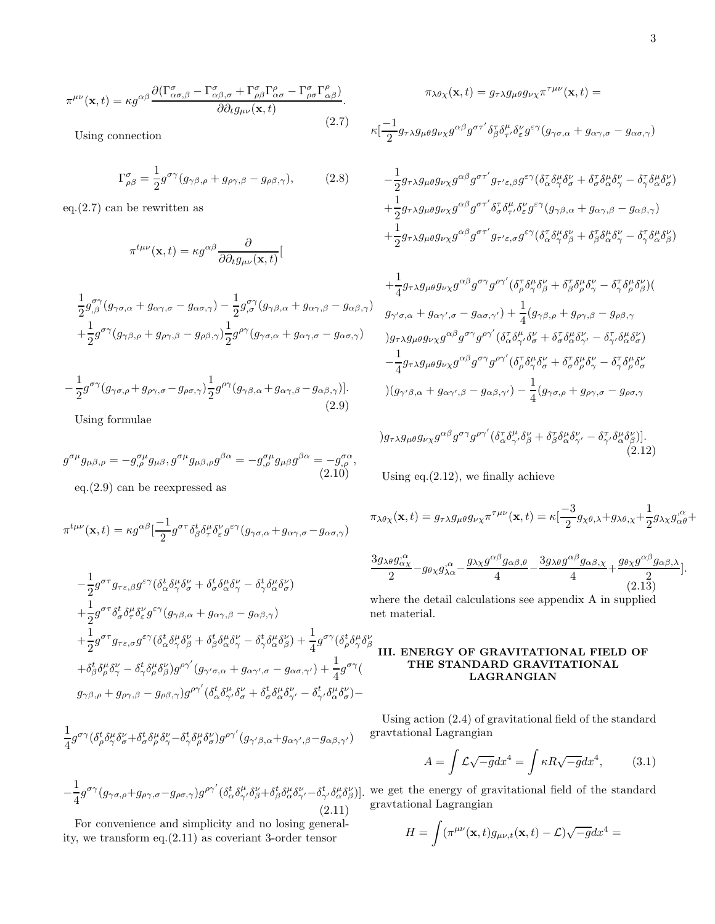$$
\pi^{\mu\nu}(\mathbf{x},t) = \kappa g^{\alpha\beta} \frac{\partial (\Gamma^{\sigma}_{\alpha\sigma,\beta} - \Gamma^{\sigma}_{\alpha\beta,\sigma} + \Gamma^{\sigma}_{\rho\beta} \Gamma^{\rho}_{\alpha\sigma} - \Gamma^{\sigma}_{\rho\sigma} \Gamma^{\rho}_{\alpha\beta})}{\partial \partial_t g_{\mu\nu}(\mathbf{x},t)}.
$$
\n(2.7)

Using connection

$$
\Gamma^{\sigma}_{\rho\beta} = \frac{1}{2} g^{\sigma\gamma} (g_{\gamma\beta,\rho} + g_{\rho\gamma,\beta} - g_{\rho\beta,\gamma}), \qquad (2.8)
$$

eq. $(2.7)$  can be rewritten as

$$
\pi^{t\mu\nu}(\mathbf{x},t) = \kappa g^{\alpha\beta} \frac{\partial}{\partial \partial_t g_{\mu\nu}(\mathbf{x},t)}[
$$

$$
\frac{1}{2}g_{,\beta}^{\sigma\gamma}(g_{\gamma\sigma,\alpha} + g_{\alpha\gamma,\sigma} - g_{\alpha\sigma,\gamma}) - \frac{1}{2}g_{,\sigma}^{\sigma\gamma}(g_{\gamma\beta,\alpha} + g_{\alpha\gamma,\beta} - g_{\alpha\beta,\gamma}) \n+ \frac{1}{2}g^{\sigma\gamma}(g_{\gamma\beta,\rho} + g_{\rho\gamma,\beta} - g_{\rho\beta,\gamma})\frac{1}{2}g^{\rho\gamma}(g_{\gamma\sigma,\alpha} + g_{\alpha\gamma,\sigma} - g_{\alpha\sigma,\gamma})
$$

$$
-\frac{1}{2}g^{\sigma\gamma}(g_{\gamma\sigma,\rho}+g_{\rho\gamma,\sigma}-g_{\rho\sigma,\gamma})\frac{1}{2}g^{\rho\gamma}(g_{\gamma\beta,\alpha}+g_{\alpha\gamma,\beta}-g_{\alpha\beta,\gamma})].
$$
\n(2.9)

Using formulae

$$
g^{\sigma\mu}g_{\mu\beta,\rho} = -g^{\sigma\mu}_{,\rho}g_{\mu\beta}, g^{\sigma\mu}g_{\mu\beta,\rho}g^{\beta\alpha} = -g^{\sigma\mu}_{,\rho}g_{\mu\beta}g^{\beta\alpha} = -g^{\sigma\alpha}_{,\rho},
$$
\n(2.10)\neq2.10

$$
\pi^{t\mu\nu}(\mathbf{x},t) = \kappa g^{\alpha\beta} \left[\frac{-1}{2} g^{\sigma\tau} \delta^t_{\beta} \delta^{\mu}_{\tau} \delta^{\nu}_{\varepsilon} g^{\varepsilon\gamma} (g_{\gamma\sigma,\alpha} + g_{\alpha\gamma,\sigma} - g_{\alpha\sigma,\gamma})\right]
$$

$$
-\frac{1}{2}g^{\sigma\tau}g_{\tau\epsilon,\beta}g^{\epsilon\gamma}(\delta^t_{\alpha}\delta^{\mu}_{\gamma}\delta^{\nu}_{\sigma} + \delta^t_{\sigma}\delta^{\mu}_{\alpha}\delta^{\nu}_{\gamma} - \delta^t_{\gamma}\delta^{\mu}_{\alpha}\delta^{\nu}_{\sigma})
$$
  
+
$$
\frac{1}{2}g^{\sigma\tau}\delta^t_{\sigma}\delta^{\mu}_{\tau}\delta^{\nu}_{\epsilon}g^{\epsilon\gamma}(g_{\gamma\beta,\alpha} + g_{\alpha\gamma,\beta} - g_{\alpha\beta,\gamma})
$$
  
+
$$
\frac{1}{2}g^{\sigma\tau}g_{\tau\epsilon,\sigma}g^{\epsilon\gamma}(\delta^t_{\alpha}\delta^{\mu}_{\gamma}\delta^{\nu}_{\beta} + \delta^t_{\beta}\delta^{\mu}_{\alpha}\delta^{\nu}_{\gamma} - \delta^t_{\gamma}\delta^{\mu}_{\alpha}\delta^{\nu}_{\beta}) + \frac{1}{4}g^{\sigma\gamma}(\delta^t_{\rho}\delta^{\mu}_{\gamma}\delta^{\nu}_{\beta} + \delta^t_{\beta}\delta^{\mu}_{\rho}\delta^{\nu}_{\gamma} - \delta^t_{\gamma}\delta^{\mu}_{\rho}\delta^{\nu}_{\beta})g^{\rho\gamma'}(g_{\gamma'\sigma,\alpha} + g_{\alpha\gamma',\sigma} - g_{\alpha\sigma,\gamma'}) + \frac{1}{4}g^{\sigma\gamma}(g_{\gamma\beta,\rho} + g_{\rho\gamma,\beta} - g_{\rho\beta,\gamma})g^{\rho\gamma'}(\delta^t_{\alpha}\delta^{\mu}_{\gamma}\delta^{\nu}_{\sigma} + \delta^t_{\sigma}\delta^{\mu}_{\alpha}\delta^{\nu}_{\gamma'} - \delta^t_{\gamma'}\delta^{\mu}_{\alpha}\delta^{\nu}_{\sigma}) -
$$

$$
\begin{array}{l} \displaystyle \frac{1}{4}g^{\sigma\gamma}(\delta^t_\rho\delta^\mu_\gamma\delta^\nu_\sigma+\delta^t_\sigma\delta^\mu_\rho\delta^\nu_\gamma-\delta^t_\gamma\delta^\mu_\rho\delta^\nu_\sigma)g^{\rho\gamma'}(g_{\gamma'\beta,\alpha}+g_{\alpha\gamma',\beta}-g_{\alpha\beta,\gamma'})\\ \\ \displaystyle -\frac{1}{4}g^{\sigma\gamma}(g_{\gamma\sigma,\rho}+g_{\rho\gamma,\sigma}-g_{\rho\sigma,\gamma})g^{\rho\gamma'}(\delta^t_\alpha\delta^\mu_{\gamma'}\delta^\nu_\beta+\delta^t_\beta\delta^\mu_\alpha\delta^\nu_{\gamma'}-\delta^t_{\gamma'}\delta^\mu_\alpha\delta^\nu_\beta) \end{array}
$$

(2.11) For convenience and simplicity and no losing generality, we transform eq.(2.11) as coveriant 3-order tensor

$$
\pi_{\lambda\theta\chi}(\mathbf{x},t) = g_{\tau\lambda}g_{\mu\theta}g_{\nu\chi}\pi^{\tau\mu\nu}(\mathbf{x},t) =
$$

$$
\kappa[\frac{-1}{2}g_{\tau\lambda}g_{\mu\theta}g_{\nu\chi}g^{\alpha\beta}g^{\sigma\tau'}\delta_{\beta}^{\tau}\delta_{\tau'}^{\mu}\delta_{\varepsilon}^{\nu}g^{\varepsilon\gamma}(g_{\gamma\sigma,\alpha} + g_{\alpha\gamma,\sigma} - g_{\alpha\sigma,\gamma})
$$

$$
-\frac{1}{2}g_{\tau\lambda}g_{\mu\theta}g_{\nu\chi}g^{\alpha\beta}g^{\sigma\tau'}g_{\tau'\varepsilon,\beta}g^{\varepsilon\gamma}(\delta^{\tau}_{\alpha}\delta^{\mu}_{\gamma}\delta^{\nu}_{\sigma} + \delta^{\tau}_{\sigma}\delta^{\mu}_{\alpha}\delta^{\nu}_{\gamma} - \delta^{\tau}_{\gamma}\delta^{\mu}_{\alpha}\delta^{\nu}_{\sigma})
$$
  
+
$$
\frac{1}{2}g_{\tau\lambda}g_{\mu\theta}g_{\nu\chi}g^{\alpha\beta}g^{\sigma\tau'}\delta^{\tau}_{\sigma}\delta^{\mu}_{\tau'}\delta^{\nu}_{\varepsilon}g^{\varepsilon\gamma}(g_{\gamma\beta,\alpha} + g_{\alpha\gamma,\beta} - g_{\alpha\beta,\gamma})
$$
  
+
$$
\frac{1}{2}g_{\tau\lambda}g_{\mu\theta}g_{\nu\chi}g^{\alpha\beta}g^{\sigma\tau'}g_{\tau'\varepsilon,\sigma}g^{\varepsilon\gamma}(\delta^{\tau}_{\alpha}\delta^{\mu}_{\gamma}\delta^{\nu}_{\beta} + \delta^{\tau}_{\beta}\delta^{\mu}_{\alpha}\delta^{\nu}_{\gamma} - \delta^{\tau}_{\gamma}\delta^{\mu}_{\alpha}\delta^{\nu}_{\beta})
$$

$$
+\frac{1}{4}g_{\tau\lambda}g_{\mu\theta}g_{\nu\chi}g^{\alpha\beta}g^{\sigma\gamma}g^{\rho\gamma'}(\delta^{\tau}_{\rho}\delta^{\mu}_{\gamma}\delta^{\nu}_{\beta} + \delta^{\tau}_{\beta}\delta^{\mu}_{\rho}\delta^{\nu}_{\gamma} - \delta^{\tau}_{\gamma}\delta^{\mu}_{\rho}\delta^{\nu}_{\beta})
$$
\n
$$
g_{\gamma'\sigma,\alpha} + g_{\alpha\gamma',\sigma} - g_{\alpha\sigma,\gamma'}) + \frac{1}{4}(g_{\gamma\beta,\rho} + g_{\rho\gamma,\beta} - g_{\rho\beta,\gamma})
$$
\n
$$
)g_{\tau\lambda}g_{\mu\theta}g_{\nu\chi}g^{\alpha\beta}g^{\sigma\gamma}g^{\rho\gamma'}(\delta^{\tau}_{\alpha}\delta^{\mu}_{\gamma'}\delta^{\nu}_{\sigma} + \delta^{\tau}_{\sigma}\delta^{\mu}_{\alpha}\delta^{\nu}_{\gamma'} - \delta^{\tau}_{\gamma'}\delta^{\mu}_{\alpha}\delta^{\nu}_{\sigma})
$$
\n
$$
-\frac{1}{4}g_{\tau\lambda}g_{\mu\theta}g_{\nu\chi}g^{\alpha\beta}g^{\sigma\gamma}g^{\rho\gamma'}(\delta^{\tau}_{\rho}\delta^{\mu}_{\gamma}\delta^{\nu}_{\sigma} + \delta^{\tau}_{\sigma}\delta^{\mu}_{\rho}\delta^{\nu}_{\gamma} - \delta^{\tau}_{\gamma}\delta^{\mu}_{\rho}\delta^{\nu}_{\sigma})
$$
\n
$$
)(g_{\gamma'\beta,\alpha} + g_{\alpha\gamma',\beta} - g_{\alpha\beta,\gamma'}) - \frac{1}{4}(g_{\gamma\sigma,\rho} + g_{\rho\gamma,\sigma} - g_{\rho\sigma,\gamma})
$$

$$
)g_{\tau\lambda}g_{\mu\theta}g_{\nu\chi}g^{\alpha\beta}g^{\sigma\gamma}g^{\rho\gamma'}(\delta^{\tau}_{\alpha}\delta^{\mu}_{\gamma'}\delta^{\nu}_{\beta}+\delta^{\tau}_{\beta}\delta^{\mu}_{\alpha}\delta^{\nu}_{\gamma'}-\delta^{\tau}_{\gamma'}\delta^{\mu}_{\alpha}\delta^{\nu}_{\beta})].
$$
\n(2.12)

Using eq. $(2.12)$ , we finally achieve

$$
\pi_{\lambda\theta\chi}(\mathbf{x},t) = g_{\tau\lambda}g_{\mu\theta}g_{\nu\chi}\pi^{\tau\mu\nu}(\mathbf{x},t) = \kappa\left[\frac{-3}{2}g_{\chi\theta,\lambda} + g_{\lambda\theta,\chi} + \frac{1}{2}g_{\lambda\chi}g_{\alpha\theta}^{\alpha} + \right]
$$

$$
\frac{3g_{\lambda\theta}g_{\alpha\chi}^{\alpha}}{2} - g_{\theta\chi}g_{\lambda\alpha}^{\alpha} - \frac{g_{\lambda\chi}g^{\alpha\beta}g_{\alpha\beta,\theta}}{4} - \frac{3g_{\lambda\theta}g^{\alpha\beta}g_{\alpha\beta,\chi}}{4} + \frac{g_{\theta\chi}g^{\alpha\beta}g_{\alpha\beta,\lambda}}{2}].
$$
\n(2.13)

where the detail calculations see appendix A in supplied net material.

## III. ENERGY OF GRAVITATIONAL FIELD OF THE STANDARD GRAVITATIONAL LAGRANGIAN

Using action (2.4) of gravitational field of the standard gravtational Lagrangian

$$
A = \int \mathcal{L}\sqrt{-g}dx^4 = \int \kappa R \sqrt{-g}dx^4, \qquad (3.1)
$$

)]. we get the energy of gravitational field of the standard gravtational Lagrangian

$$
H = \int (\pi^{\mu\nu}(\mathbf{x},t)g_{\mu\nu,t}(\mathbf{x},t) - \mathcal{L})\sqrt{-g}dx^4 =
$$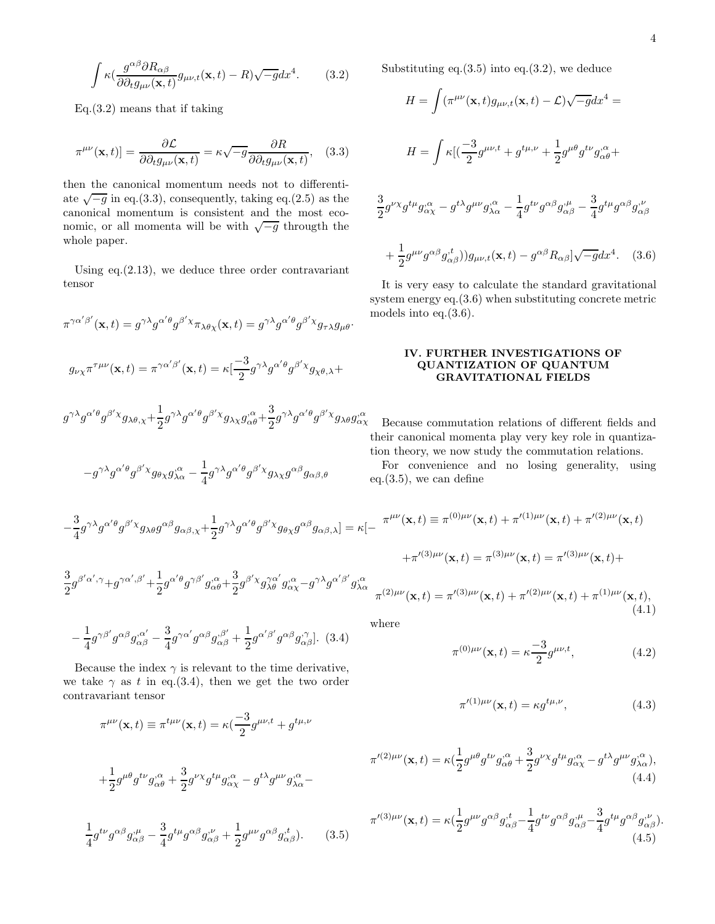$$
\int \kappa \left(\frac{g^{\alpha\beta}\partial R_{\alpha\beta}}{\partial \partial_t g_{\mu\nu}(\mathbf{x},t)} g_{\mu\nu,t}(\mathbf{x},t) - R\right) \sqrt{-g} dx^4.
$$
 (3.2)

Eq.(3.2) means that if taking

$$
\pi^{\mu\nu}(\mathbf{x},t)]=\frac{\partial \mathcal{L}}{\partial \partial_t g_{\mu\nu}(\mathbf{x},t)}=\kappa\sqrt{-g}\frac{\partial R}{\partial \partial_t g_{\mu\nu}(\mathbf{x},t)},\quad(3.3)
$$

then the canonical momentum needs not to differentiate  $\sqrt{-g}$  in eq.(3.3), consequently, taking eq.(2.5) as the canonical momentum is consistent and the most economic, or all momenta will be with  $\sqrt{-g}$  througth the whole paper.

Using eq.(2.13), we deduce three order contravariant tensor

$$
\pi^{\gamma\alpha'\beta'}(\mathbf{x},t) = g^{\gamma\lambda}g^{\alpha'\theta}g^{\beta'\chi}\pi_{\lambda\theta\chi}(\mathbf{x},t) = g^{\gamma\lambda}g^{\alpha'\theta}g^{\beta'\chi}g_{\tau\lambda}g_{\mu\theta}.
$$

$$
g_{\nu\chi}\pi^{\tau\mu\nu}(\mathbf{x},t) = \pi^{\gamma\alpha'\beta'}(\mathbf{x},t) = \kappa\left[\frac{-3}{2}g^{\gamma\lambda}g^{\alpha'\theta}g^{\beta'\chi}g_{\chi\theta,\lambda}+\right]
$$

$$
g^{\gamma\lambda}g^{\alpha'\theta}g^{\beta'\chi}g_{\lambda\theta,\chi}+\frac{1}{2}g^{\gamma\lambda}g^{\alpha'\theta}g^{\beta'\chi}g_{\lambda\chi}g^{\alpha}_{\alpha\theta}+\frac{3}{2}g^{\gamma\lambda}g^{\alpha'\theta}g^{\beta'\chi}g_{\lambda\theta}g^{\alpha}_{\alpha}
$$

$$
-g^{\gamma\lambda}g^{\alpha'\theta}g^{\beta'\chi}g_{\theta\chi}g_{\lambda\alpha}^{\,\alpha} - \frac{1}{4}g^{\gamma\lambda}g^{\alpha'\theta}g^{\beta'\chi}g_{\lambda\chi}g^{\alpha\beta}g_{\alpha\beta,\theta}
$$

Substituting eq. $(3.5)$  into eq. $(3.2)$ , we deduce

$$
H = \int (\pi^{\mu\nu}(\mathbf{x}, t) g_{\mu\nu, t}(\mathbf{x}, t) - \mathcal{L}) \sqrt{-g} dx^4 =
$$
  

$$
H = \int \kappa [(\frac{-3}{2} g^{\mu\nu, t} + g^{t\mu, \nu} + \frac{1}{2} g^{\mu\theta} g^{t\nu} g^{\mu\alpha}_{\alpha\theta} + \frac{3}{2} g^{\nu\chi} g^{t\mu} g^{\alpha}_{\alpha\chi} - g^{t\lambda} g^{\mu\nu} g^{\nu\alpha}_{\lambda\alpha} - \frac{1}{4} g^{t\nu} g^{\alpha\beta} g^{\nu\mu}_{\alpha\beta} - \frac{3}{4} g^{t\mu} g^{\alpha\beta} g^{\nu}_{\alpha\beta}
$$
  

$$
+ \frac{1}{2} g^{\mu\nu} g^{\alpha\beta} g^{\nu t}_{\alpha\beta}) g_{\mu\nu, t}(\mathbf{x}, t) - g^{\alpha\beta} R_{\alpha\beta} [\sqrt{-g} dx^4. \quad (3.6)
$$

It is very easy to calculate the standard gravitational system energy eq.(3.6) when substituting concrete metric models into eq.(3.6).

## IV. FURTHER INVESTIGATIONS OF QUANTIZATION OF QUANTUM GRAVITATIONAL FIELDS

, $\alpha$  Because commutation relations of different fields and their canonical momenta play very key role in quantization theory, we now study the commutation relations.

For convenience and no losing generality, using eq. $(3.5)$ , we can define

 $+\pi'^{(3)\mu\nu}(\mathbf{x},t) = \pi^{(3)\mu\nu}(\mathbf{x},t) = \pi'^{(3)\mu\nu}(\mathbf{x},t) +$ 

$$
-\frac{3}{4}g^{\gamma\lambda}g^{\alpha\prime\theta}g^{\beta\prime}x_{\beta\lambda\theta}g^{\alpha\beta}g_{\alpha\beta,\chi}+\frac{1}{2}g^{\gamma\lambda}g^{\alpha\prime\theta}g^{\beta\prime}x_{\beta\theta\chi}g^{\alpha\beta}g_{\alpha\beta,\lambda}]=\kappa[-\pi^{\mu\nu}(\mathbf{x},t)\equiv\pi^{(0)\mu\nu}(\mathbf{x},t)+\pi'^{(1)\mu\nu}(\mathbf{x},t)+\pi'^{(2)\mu\nu}(\mathbf{x},t)]
$$

$$
\frac{3}{2}g^{\beta'\alpha',\gamma}+g^{\gamma\alpha',\beta'}+\frac{1}{2}g^{\alpha'\theta}g^{\gamma\beta'}g^{\cdot\alpha}_{\alpha\theta}+\frac{3}{2}g^{\beta'\chi}g^{\gamma\alpha'}_{\lambda\theta}g^{\cdot\alpha}_{\alpha\chi}-g^{\gamma\lambda}g^{\alpha'\beta'}g^{\cdot\alpha}_{\lambda\alpha}\nonumber\\ \pi^{(2)\mu\nu}(\mathbf{x},t)=\pi'^{(3)\mu\nu}(\mathbf{x},t)+\pi'^{(2)\mu\nu}(\mathbf{x},t)+\pi^{(1)\mu\nu}(\mathbf{x},t),
$$

$$
-\frac{1}{4}g^{\gamma\beta'}g^{\alpha\beta}g^{\alpha'}_{\alpha\beta} - \frac{3}{4}g^{\gamma\alpha'}g^{\alpha\beta}g^{\beta'}_{\alpha\beta} + \frac{1}{2}g^{\alpha'\beta'}g^{\alpha\beta}g^{\gamma}_{\alpha\beta}].
$$
 (3.4)

Because the index  $\gamma$  is relevant to the time derivative, we take  $\gamma$  as t in eq.(3.4), then we get the two order contravariant tensor

$$
\pi^{\mu\nu}(\mathbf{x},t) \equiv \pi^{t\mu\nu}(\mathbf{x},t) = \kappa(\frac{-3}{2}g^{\mu\nu,t} + g^{t\mu,\nu})
$$

$$
+\frac{1}{2}g^{\mu\theta}g^{t\nu}g^{\mu\alpha}_{\alpha\theta} + \frac{3}{2}g^{\nu\chi}g^{t\mu}g^{\mu\alpha}_{\alpha\chi} - g^{t\lambda}g^{\mu\nu}g^{\mu\alpha}_{\lambda\alpha} -
$$

$$
\frac{1}{4}g^{t\nu}g^{\alpha\beta}g^{\mu}_{\alpha\beta} - \frac{3}{4}g^{t\mu}g^{\alpha\beta}g^{\nu}_{\alpha\beta} + \frac{1}{2}g^{\mu\nu}g^{\alpha\beta}g^{\mu}_{\alpha\beta}).
$$
 (3.5)

where

 $\overline{2}$ 

$$
\pi^{(0)\mu\nu}(\mathbf{x},t) = \kappa \frac{-3}{2} g^{\mu\nu,t},\tag{4.2}
$$

(4.1)

$$
\pi^{\prime(1)\mu\nu}(\mathbf{x},t) = \kappa g^{t\mu,\nu},\tag{4.3}
$$

$$
\pi'^{(2)\mu\nu}(\mathbf{x},t) = \kappa \left(\frac{1}{2}g^{\mu\theta}g^{t\nu}g^{\alpha}_{\alpha\theta} + \frac{3}{2}g^{\nu\chi}g^{t\mu}g^{\alpha}_{\alpha\chi} - g^{t\lambda}g^{\mu\nu}g^{\alpha}_{\lambda\alpha}\right),
$$
\n(4.4)

$$
\pi'^{(3)\mu\nu}(\mathbf{x},t) = \kappa(\frac{1}{2}g^{\mu\nu}g^{\alpha\beta}g^{\nu}_{\alpha\beta} - \frac{1}{4}g^{t\nu}g^{\alpha\beta}g^{\nu}_{\alpha\beta} - \frac{3}{4}g^{t\mu}g^{\alpha\beta}g^{\nu}_{\alpha\beta}).
$$
\n(4.5)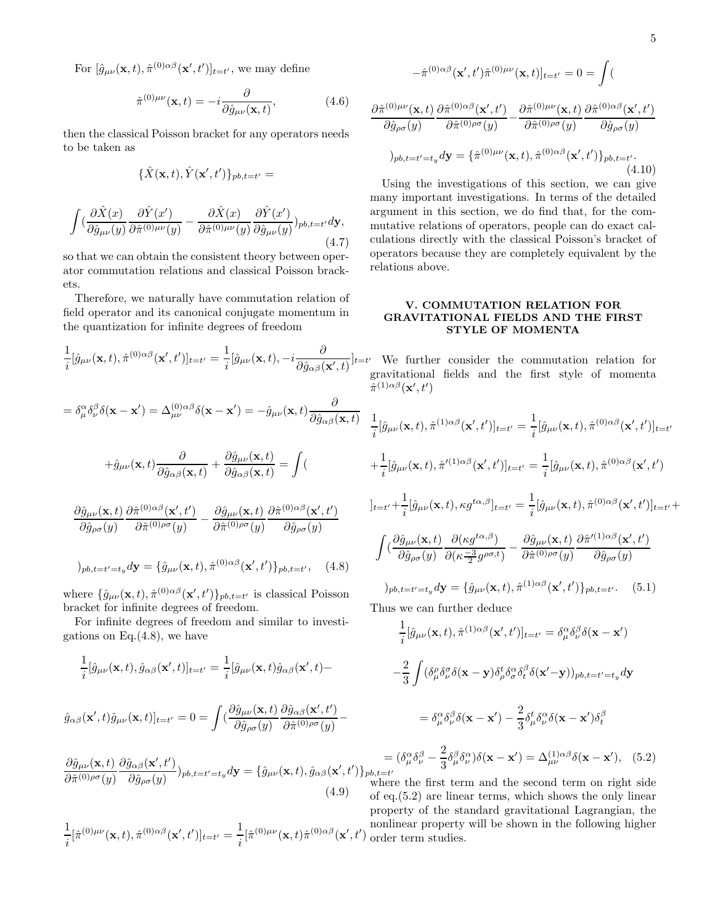For  $[\hat{g}_{\mu\nu}(\mathbf{x},t), \hat{\pi}^{(0)\alpha\beta}(\mathbf{x}',t')]_{t=t'}$ , we may define

$$
\hat{\pi}^{(0)\mu\nu}(\mathbf{x},t) = -i \frac{\partial}{\partial \hat{g}_{\mu\nu}(\mathbf{x},t)},\tag{4.6}
$$

then the classical Poisson bracket for any operators needs to be taken as

$$
\{\hat{X}(\mathbf{x},t),\hat{Y}(\mathbf{x}',t')\}_{pb,t=t'}=
$$

$$
\int (\frac{\partial \hat{X}(x)}{\partial \hat{g}_{\mu\nu}(y)} \frac{\partial \hat{Y}(x')}{\partial \hat{\pi}^{(0)\mu\nu}(y)} - \frac{\partial \hat{X}(x)}{\partial \hat{\pi}^{(0)\mu\nu}(y)} \frac{\partial \hat{Y}(x')}{\partial \hat{g}_{\mu\nu}(y)})_{pb, t=t'} d\mathbf{y},\tag{4.7}
$$

so that we can obtain the consistent theory between operator commutation relations and classical Poisson brackets.

Therefore, we naturally have commutation relation of field operator and its canonical conjugate momentum in the quantization for infinite degrees of freedom

$$
\frac{1}{i}[\hat{g}_{\mu\nu}(\mathbf{x},t),\hat{\pi}^{(0)\alpha\beta}(\mathbf{x}',t')]_{t=t'} = \frac{1}{i}[\hat{g}_{\mu\nu}(\mathbf{x},t),-i\frac{\partial}{\partial \hat{g}_{\alpha\beta}(\mathbf{x}',t)}]_{t=}
$$
\n
$$
= \delta_{\mu}^{\alpha}\delta_{\nu}^{\beta}\delta(\mathbf{x}-\mathbf{x}') = \Delta_{\mu\nu}^{(0)\alpha\beta}\delta(\mathbf{x}-\mathbf{x}') = -\hat{g}_{\mu\nu}(\mathbf{x},t)\frac{\partial}{\partial \hat{g}_{\alpha\beta}(\mathbf{x},t)}
$$
\n
$$
+ \hat{g}_{\mu\nu}(\mathbf{x},t)\frac{\partial}{\partial \hat{g}_{\alpha\beta}(\mathbf{x},t)} + \frac{\partial \hat{g}_{\mu\nu}(\mathbf{x},t)}{\partial \hat{g}_{\alpha\beta}(\mathbf{x},t)} = \int (\frac{\partial \hat{g}_{\mu\nu}(\mathbf{x},t)}{\partial \hat{g}_{\rho\sigma}(y)}\frac{\partial \hat{\pi}^{(0)\alpha\beta}(\mathbf{x}',t')}{\partial \hat{\pi}^{(0)\rho\sigma}(y)} - \frac{\partial \hat{g}_{\mu\nu}(\mathbf{x},t)}{\partial \hat{\pi}^{(0)\rho\sigma}(y)}\frac{\partial \hat{\pi}^{(0)\alpha\beta}(\mathbf{x}',t')}{\partial \hat{g}_{\rho\sigma}(y)}
$$
\n
$$
)_{pb,t=t'=t_{y}}d\mathbf{y} = \{\hat{g}_{\mu\nu}(\mathbf{x},t),\hat{\pi}^{(0)\alpha\beta}(\mathbf{x}',t')\}_{pb,t=t'}, \quad (4.8)
$$

where  $\{\hat{g}_{\mu\nu}(\mathbf{x},t),\hat{\pi}^{(0)}{}^{\alpha\beta}(\mathbf{x}',t')\}_{pb,t=t'}$  is classical Poisson bracket for infinite degrees of freedom.

For infinite degrees of freedom and similar to investigations on Eq. $(4.8)$ , we have

$$
\frac{1}{i}[\hat{g}_{\mu\nu}(\mathbf{x},t),\hat{g}_{\alpha\beta}(\mathbf{x}',t)]_{t=t'} = \frac{1}{i}[\hat{g}_{\mu\nu}(\mathbf{x},t)\hat{g}_{\alpha\beta}(\mathbf{x}',t) -
$$

$$
\hat{g}_{\alpha\beta}(\mathbf{x}',t)\hat{g}_{\mu\nu}(\mathbf{x},t)]_{t=t'} = 0 = \int (\frac{\partial \hat{g}_{\mu\nu}(\mathbf{x},t)}{\partial \hat{g}_{\rho\sigma}(y)} \frac{\partial \hat{g}_{\alpha\beta}(\mathbf{x}',t')}{\partial \hat{\pi}^{(0)\rho\sigma}(y)} -
$$

$$
\frac{\partial \hat{g}_{\mu\nu}(\mathbf{x},t)}{\partial \hat{\pi}^{(0)\rho\sigma}(y)} \frac{\partial \hat{g}_{\alpha\beta}(\mathbf{x}',t')}{\partial \hat{g}_{\rho\sigma}(y)} p_{\nu,t=t'=t_y} d\mathbf{y} = {\hat{g}_{\mu\nu}(\mathbf{x},t), \hat{g}_{\alpha\beta}(\mathbf{x}',t')} p_{\nu}
$$
\n(4.9)

 $\frac{1}{i}[\hat{\pi}^{(0)\mu\nu}(\mathbf{x},t),\hat{\pi}^{(0)\alpha\beta}(\mathbf{x}^\prime,t^\prime)]_{t=t^\prime}=\frac{1}{i}$ 

1

$$
-\hat{\pi}^{(0)\alpha\beta}(\mathbf{x}',t')\hat{\pi}^{(0)\mu\nu}(\mathbf{x},t)]_{t=t'}=0=\int(\mathbf{u},t')\hat{\pi}^{(0)\alpha\beta}(\mathbf{x},t')dt
$$

$$
\frac{\partial \hat{\pi}^{(0)\mu\nu}(\mathbf{x},t)}{\partial \hat{g}_{\rho\sigma}(y)} \frac{\partial \hat{\pi}^{(0)\alpha\beta}(\mathbf{x}',t')}{\partial \hat{\pi}^{(0)\rho\sigma}(y)} - \frac{\partial \hat{\pi}^{(0)\mu\nu}(\mathbf{x},t)}{\partial \hat{\pi}^{(0)\rho\sigma}(y)} \frac{\partial \hat{\pi}^{(0)\alpha\beta}(\mathbf{x}',t')}{\partial \hat{g}_{\rho\sigma}(y)}
$$
  
\n
$$
)_{pb,t=t'=t_y} d\mathbf{y} = {\hat{\pi}^{(0)\mu\nu}(\mathbf{x},t), \hat{\pi}^{(0)\alpha\beta}(\mathbf{x}',t')}_{pb,t=t'}. \tag{4.10}
$$

Using the investigations of this section, we can give many important investigations. In terms of the detailed argument in this section, we do find that, for the commutative relations of operators, people can do exact calculations directly with the classical Poisson's bracket of operators because they are completely equivalent by the relations above.

## V. COMMUTATION RELATION FOR GRAVITATIONAL FIELDS AND THE FIRST STYLE OF MOMENTA

 $]_{t=t'}$  We further consider the commutation relation for gravitational fields and the first style of momenta  $\hat{\pi}^{(1)\alpha\beta}(\mathbf{x}',t')$ 

$$
\frac{1}{i}[\hat{g}_{\mu\nu}(\mathbf{x},t),\hat{\pi}^{(1)\alpha\beta}(\mathbf{x}',t')]_{t=t'} = \frac{1}{i}[\hat{g}_{\mu\nu}(\mathbf{x},t),\hat{\pi}^{(0)\alpha\beta}(\mathbf{x}',t')]_{t=t'}
$$
\n
$$
+\frac{1}{i}[\hat{g}_{\mu\nu}(\mathbf{x},t),\hat{\pi}'^{(1)\alpha\beta}(\mathbf{x}',t')]_{t=t'} = \frac{1}{i}[\hat{g}_{\mu\nu}(\mathbf{x},t),\hat{\pi}^{(0)\alpha\beta}(\mathbf{x}',t')
$$
\n
$$
]_{t=t'} + \frac{1}{i}[\hat{g}_{\mu\nu}(\mathbf{x},t),\kappa g^{t\alpha,\beta}]_{t=t'} = \frac{1}{i}[\hat{g}_{\mu\nu}(\mathbf{x},t),\hat{\pi}^{(0)\alpha\beta}(\mathbf{x}',t')]_{t=t'} + \int (\frac{\partial \hat{g}_{\mu\nu}(\mathbf{x},t)}{\partial \hat{g}_{\rho\sigma}(y)}\frac{\partial(\kappa g^{t\alpha,\beta})}{\partial(\kappa \frac{-3}{2}g^{\rho\sigma,t})} - \frac{\partial \hat{g}_{\mu\nu}(\mathbf{x},t)}{\partial \hat{\pi}^{(0)\rho\sigma}(y)}\frac{\partial \hat{\pi}'^{(1)\alpha\beta}(\mathbf{x}',t')}{\partial \hat{g}_{\rho\sigma}(y)}
$$
\n
$$
)_{pb,t=t'=t_{y}}d\mathbf{y} = \{\hat{g}_{\mu\nu}(\mathbf{x},t),\hat{\pi}^{(1)\alpha\beta}(\mathbf{x}',t')\}_{pb,t=t'}.
$$
 (5.1)

Thus we can further deduce

$$
\frac{1}{i}[\hat{g}_{\mu\nu}(\mathbf{x},t),\hat{\pi}^{(1)\alpha\beta}(\mathbf{x}',t')]_{t=t'} = \delta^{\alpha}_{\mu}\delta^{\beta}_{\nu}\delta(\mathbf{x}-\mathbf{x}')
$$
\n
$$
-\frac{2}{3}\int (\delta^{\rho}_{\mu}\delta^{\sigma}_{\nu}\delta(\mathbf{x}-\mathbf{y})\delta^t_{\rho}\delta^{\alpha}_{\sigma}\delta^{\beta}_{t}\delta(\mathbf{x}'-\mathbf{y}))_{pb,t=t'=t_{y}}d\mathbf{y}
$$
\n
$$
= \delta^{\alpha}_{\mu}\delta^{\beta}_{\nu}\delta(\mathbf{x}-\mathbf{x}') - \frac{2}{3}\delta^t_{\mu}\delta^{\alpha}_{\nu}\delta(\mathbf{x}-\mathbf{x}')\delta^{\beta}_{t}
$$
\n
$$
= (\delta^{\alpha}_{\mu}\delta^{\beta}_{\nu} - \frac{2}{3}\delta^{\beta}_{\mu}\delta^{\alpha}_{\nu})\delta(\mathbf{x}-\mathbf{x}') = \Delta^{(1)\alpha\beta}_{\mu\nu}\delta(\mathbf{x}-\mathbf{x}'), \quad (5.2)
$$
\n
$$
_{t=t'}
$$

 $\frac{1}{i}[\hat{\pi}^{(0)\mu\nu}(\mathbf{x},t)\hat{\pi}^{(0)\alpha\beta}(\mathbf{x}',t')$ where the first term and the second term on right side of eq.(5.2) are linear terms, which shows the only linear property of the standard gravitational Lagrangian, the nonlinear property will be shown in the following higher order term studies.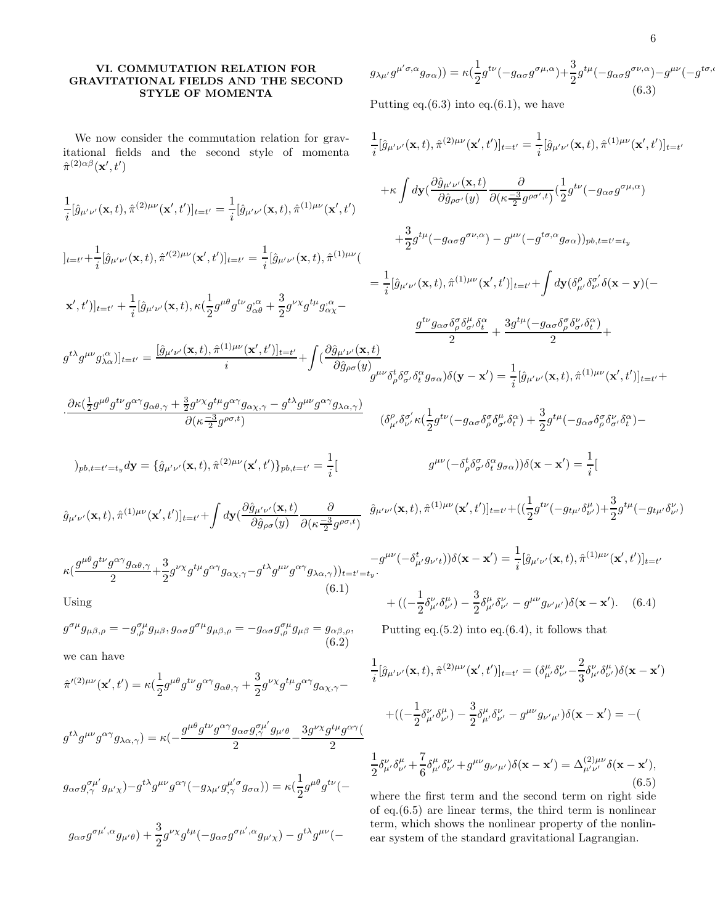## VI. COMMUTATION RELATION FOR GRAVITATIONAL FIELDS AND THE SECOND STYLE OF MOMENTA

 $g_{\lambda\mu'}g^{\mu'\sigma,\alpha}g_{\sigma\alpha})$ ) =  $\kappa(\frac{1}{2})$  $\frac{1}{2}g^{t\nu}(-g_{\alpha\sigma}g^{\sigma\mu,\alpha})+\frac{3}{2}g^{t\mu}(-g_{\alpha\sigma}g^{\sigma\nu,\alpha})-g^{\mu\nu}(-g^{t\sigma,\alpha})$ (6.3)

We now consider the commutation relation for gravitational fields and the second style of momenta  $\hat{\pi}^{(2)\alpha\beta}(\mathbf{x}',t')$ 

(6.3)  
Putting eq.(6.3) into eq.(6.1), we have  

$$
\frac{1}{i}[\hat{g}_{\mu'\nu'}(\mathbf{x},t),\hat{\pi}^{(2)\mu\nu}(\mathbf{x}',t')]_{t=t'} = \frac{1}{i}[\hat{g}_{\mu'\nu'}(\mathbf{x},t),\hat{\pi}^{(1)\mu\nu}(\mathbf{x}',t')]_{t=t'}
$$

$$
\frac{1}{i}[\hat{g}_{\mu'\nu'}(\mathbf{x},t),\hat{\pi}^{(2)\mu\nu}(\mathbf{x}',t')]_{t=t'} = \frac{1}{i}[\hat{g}_{\mu'\nu'}(\mathbf{x},t),\hat{\pi}^{(1)\mu\nu}(\mathbf{x}',t') + \kappa \int dy (\frac{\partial \hat{g}_{\mu'\nu'}(\mathbf{x},t)}{\partial \hat{g}_{\rho\sigma'}(y)} \frac{\partial}{\partial (\kappa \frac{-3}{2}g^{\rho\sigma',t})} (\frac{1}{2}g^{t\nu}(-g_{\alpha\sigma}g^{\sigma\mu,\alpha})\n]+ \frac{3}{2}g^{t\mu}(-g_{\alpha\sigma}g^{\sigma\nu,\alpha}) - g^{\mu\nu}(-g^{t\sigma,\alpha}g_{\sigma\alpha}))_{pb,t=t'=t_y} \n+ \frac{3}{2}g^{t\mu}(-g_{\alpha\sigma}g^{\sigma\nu,\alpha}) - g^{\mu\nu}(-g^{t\sigma,\alpha}g_{\sigma\alpha}))_{pb,t=t'=t_y} \n= \frac{1}{i}[\hat{g}_{\mu'\nu'}(\mathbf{x},t),\hat{\pi}^{(2)\mu\nu}(\mathbf{x}',t')]_{t=t'} + \frac{1}{i}[\hat{g}_{\mu'\nu'}(\mathbf{x},t),\kappa(\frac{1}{2}g^{\mu\theta}g^{t\nu}g_{\alpha\theta}^{\alpha} + \frac{3}{2}g^{\nu\chi}g^{t\mu}g_{\alpha\chi}^{\alpha} - \frac{g^{t\nu}g_{\alpha\sigma}\delta_{\rho}^{\sigma}\delta_{\sigma'}^{\mu}\delta_{\sigma'}^{\sigma}\delta_{\tau}^{\mu}}{2} + \frac{3g^{t\mu}(-g_{\alpha\sigma}\delta_{\rho}^{\sigma}\delta_{\sigma'}^{\nu}\delta_{\tau}^{\kappa})}{2} + g^{t\lambda}g^{\mu\nu}g_{\lambda\alpha}^{\kappa})]_{t=t'} = \frac{[\hat{g}_{\mu'\nu'}(\mathbf{x},t),\hat{\pi}^{(1)\mu\nu}(\mathbf{x}',t')]_{t=t'} + \int (\frac{\partial \hat{g}_{\mu'\nu'}(\mathbf{x},t)}{\partial \hat{g}_{\rho\sigma}(y)}g^{\mu\nu}\delta_{\rho}^{\kappa}\delta_{\sigma'}^{\kappa}\delta_{\sigma}^{\alpha}g_{\sigma\alpha})\delta(\mathbf{y}-\mathbf{x}') = \frac{1}{i}[\hat{g}_{
$$

$$
\hat{g}_{\mu'\nu'}(\mathbf{x},t),\hat{\pi}^{(1)\mu\nu}(\mathbf{x}',t')]_{t=t'} + \int d\mathbf{y}(\frac{\partial \hat{g}_{\mu'\nu'}(\mathbf{x},t)}{\partial \hat{g}_{\rho\sigma}(y)}\frac{\partial}{\partial(\kappa\frac{-3}{2}g^{\rho\sigma,t})} \hat{g}_{\mu'\nu'}(\mathbf{x},t),\hat{\pi}^{(1)\mu\nu}(\mathbf{x}',t')]_{t=t'} + ((\frac{1}{2}g^{t\nu}(-g_{t\mu'}\delta_{\nu'}^{\mu})+\frac{3}{2}g^{t\mu}(-g_{t\mu'}\delta_{\nu'}^{\nu}))
$$

$$
\kappa \left(\frac{g^{\mu\theta}g^{t\nu}g^{\alpha\gamma}g_{\alpha\theta,\gamma}}{2} + \frac{3}{2}g^{\nu\chi}g^{t\mu}g^{\alpha\gamma}g_{\alpha\chi,\gamma} - g^{t\lambda}g^{\mu\nu}g^{\alpha\gamma}g_{\lambda\alpha,\gamma}\right)_{t=t'=t_y} - g^{\mu\nu}(-\delta_{\mu}^{t}g_{\nu't}))\delta(\mathbf{x} - \mathbf{x}') = \frac{1}{i}[\hat{g}_{\mu'\nu'}(\mathbf{x},t),\hat{\pi}^{(1)\mu\nu}(\mathbf{x}',t')]_{t=t'}\n\tag{6.1}
$$
\n
$$
\text{Using}\n\begin{aligned}\n&\quad &\quad + \left( (-\frac{1}{2}\delta_{\mu'}^{\nu}\delta_{\nu'}^{\mu}) - \frac{3}{2}\delta_{\mu'}^{\mu}\delta_{\nu'}^{\nu} - g^{\mu\nu}g_{\nu'\mu'}\right)\delta(\mathbf{x} - \mathbf{x}').\n\end{aligned}\n\tag{6.4}
$$

Using

$$
g^{\sigma\mu}g_{\mu\beta,\rho} = -g^{\sigma\mu}_{,\rho}g_{\mu\beta}, g_{\alpha\sigma}g^{\sigma\mu}g_{\mu\beta,\rho} = -g_{\alpha\sigma}g^{\sigma\mu}_{,\rho}g_{\mu\beta} = g_{\alpha\beta,\rho},
$$
\n(6.2)

we can have

$$
\hat{\pi}'^{(2)\mu\nu}({\bf x}',t')=\kappa(\frac{1}{2}g^{\mu\theta}g^{t\nu}g^{\alpha\gamma}g_{\alpha\theta,\gamma}+\frac{3}{2}g^{\nu\chi}g^{t\mu}g^{\alpha\gamma}g_{\alpha\chi,\gamma}-
$$

$$
g^{t\lambda}g^{\mu\nu}g^{\alpha\gamma}g_{\lambda\alpha,\gamma} = \kappa \left(-\frac{g^{\mu\theta}g^{t\nu}g^{\alpha\gamma}g_{\alpha\sigma}g^{\sigma\mu'}_{,\gamma}g_{\mu'\theta}}{2} - \frac{3g^{\nu\chi}g^{t\mu}g^{\alpha\gamma}}{2}\right)
$$

$$
g_{\alpha\sigma}g^{\sigma\mu'}_{,\gamma}g_{\mu'\chi} - g^{t\lambda}g^{\mu\nu}g^{\alpha\gamma}(-g_{\lambda\mu'}g^{\mu'\sigma}_{,\gamma}g_{\sigma\alpha})\right) = \kappa \left(\frac{1}{2}g^{\mu\theta}g^{t\nu}(-\frac{1}{2}g^{\mu\theta}g^{\mu'}\right)
$$

$$
g_{\alpha\sigma}g^{\sigma\mu',\alpha}g_{\mu'\theta})+\frac{3}{2}g^{\nu\chi}g^{t\mu}(-g_{\alpha\sigma}g^{\sigma\mu',\alpha}g_{\mu'\chi})-g^{t\lambda}g^{\mu\nu}(-
$$

Putting eq. $(5.2)$  into eq. $(6.4)$ , it follows that

$$
\frac{1}{i}[\hat{g}_{\mu'\nu'}(\mathbf{x},t),\hat{\pi}^{(2)\mu\nu}(\mathbf{x}',t')]_{t=t'} = (\delta^{\mu}_{\mu'}\delta^{\nu}_{\nu'} - \frac{2}{3}\delta^{\nu}_{\mu'}\delta^{\mu}_{\nu'})\delta(\mathbf{x}-\mathbf{x}') + ((-\frac{1}{2}\delta^{\nu}_{\mu'}\delta^{\mu}_{\nu'}) - \frac{3}{2}\delta^{\mu}_{\mu'}\delta^{\nu}_{\nu'} - g^{\mu\nu}g_{\nu'\mu'})\delta(\mathbf{x}-\mathbf{x}') = -(\frac{1}{2}\delta^{\nu}_{\mu'}\delta^{\mu}_{\nu'} + \frac{7}{6}\delta^{\mu}_{\mu'}\delta^{\nu}_{\nu'} + g^{\mu\nu}g_{\nu'\mu'})\delta(\mathbf{x}-\mathbf{x}') = \Delta^{(2)\mu\nu}_{\mu'\nu'}\delta(\mathbf{x}-\mathbf{x}'),
$$
\n(6.5)

where the first term and the second term on right side of eq.(6.5) are linear terms, the third term is nonlinear term, which shows the nonlinear property of the nonlinear system of the standard gravitational Lagrangian.

 $\frac{1}{i}[\hat{g}_{\mu'\nu'}(\mathbf{x},t),\hat{\pi}^{(1)\mu\nu}(\mathbf{x}',t')]_{t=t'}$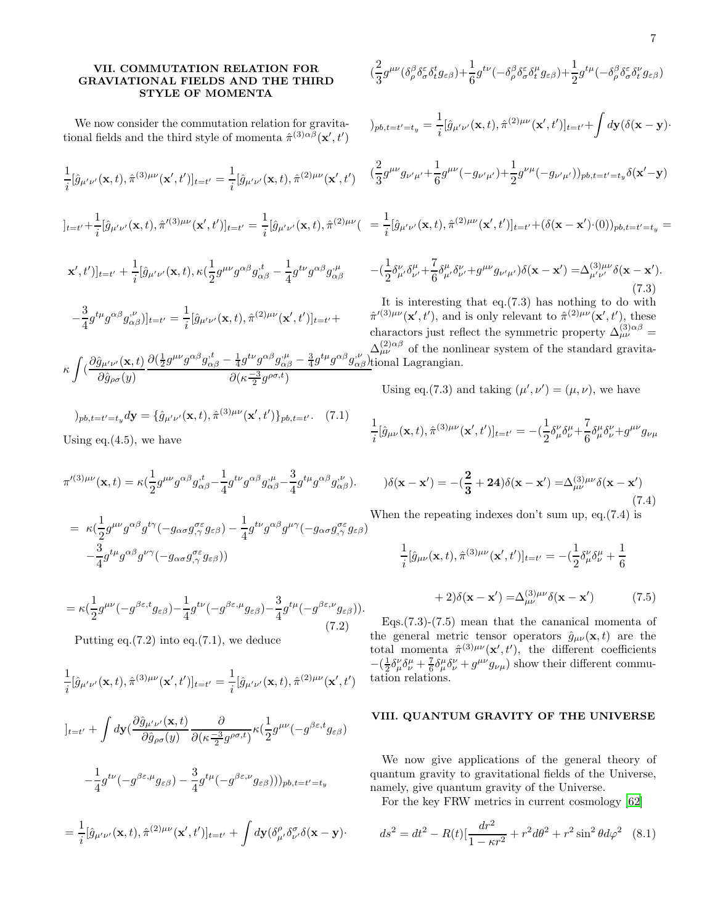## VII. COMMUTATION RELATION FOR GRAVIATIONAL FIELDS AND THE THIRD STYLE OF MOMENTA

We now consider the commutation relation for gravitational fields and the third style of momenta  $\hat{\pi}^{(3)\alpha\beta}(\mathbf{x}',t')$ 

$$
\frac{1}{i}[\hat{g}_{\mu'\nu'}(\mathbf{x},t),\hat{\pi}^{(3)\mu\nu}(\mathbf{x}',t')]_{t=t'} = \frac{1}{i}[\hat{g}_{\mu'\nu'}(\mathbf{x},t),\hat{\pi}^{(2)\mu\nu}(\mathbf{x}',t')]
$$
\n
$$
]_{t=t'} + \frac{1}{i}[\hat{g}_{\mu'\nu'}(\mathbf{x},t),\hat{\pi}'^{(3)\mu\nu}(\mathbf{x}',t')]_{t=t'} = \frac{1}{i}[\hat{g}_{\mu'\nu'}(\mathbf{x},t),\hat{\pi}^{(2)\mu\nu}(\mathbf{x}',t')]_{t=t'} + \frac{1}{i}[\hat{g}_{\mu'\nu'}(\mathbf{x},t),\kappa(\frac{1}{2}g^{\mu\nu}g^{\alpha\beta}g_{\alpha\beta}^{,t} - \frac{1}{4}g^{t\nu}g^{\alpha\beta}g_{\alpha\beta}^{,\mu})
$$
\n
$$
-\frac{3}{4}g^{t\mu}g^{\alpha\beta}g_{\alpha\beta}^{,\nu})]_{t=t'} = \frac{1}{i}[\hat{g}_{\mu'\nu'}(\mathbf{x},t),\hat{\pi}^{(2)\mu\nu}(\mathbf{x}',t')]_{t=t'} +
$$
\n
$$
f_{\alpha\beta}^{\alpha}{}_{\alpha\beta}(\mathbf{x}',t) \frac{\partial}{\partial \mathbf{x}'}\frac{1}{\partial \mathbf{x}'}g^{\alpha\beta}g_{\alpha}^{,t} - \frac{1}{2}g^{t\nu}g^{\alpha\beta}g_{\nu}^{,\nu} - \frac{3}{2}g^{t\mu}g^{\alpha\beta}g_{\nu}^{,\nu}
$$

$$
\kappa \int \left( \frac{\partial \hat{g}_{\mu'\nu'}(\mathbf{x},t)}{\partial \hat{g}_{\rho\sigma}(y)} \frac{\partial (\frac{1}{2}g^{\mu\nu}g^{\alpha\beta}g^{\nu}_{\alpha\beta} - \frac{1}{4}g^{t\nu}g^{\alpha\beta}g^{\nu}_{\alpha\beta} - \frac{3}{4}g^{t\mu}g^{\alpha\beta}g^{\nu}_{\alpha\beta})}{\partial (\kappa - \frac{3}{2}g^{\rho\sigma,t})} \right) \text{Li}(\mathbf{x},t) \, d\mathbf{x}
$$

$$
)_{pb,t=t'=t_{y}}d\mathbf{y} = {\hat{g}_{\mu'\nu'}(\mathbf{x},t), \hat{\pi}^{(3)\mu\nu}(\mathbf{x}',t')}_{pb,t=t'}. (7.1)
$$

Using eq.  $(4.5)$ , we have

$$
\pi'^{(3)\mu\nu}(\mathbf{x},t)=\kappa(\frac{1}{2}g^{\mu\nu}g^{\alpha\beta}g^{,t}_{\alpha\beta}-\frac{1}{4}g^{t\nu}g^{\alpha\beta}g^{, \mu}_{\alpha\beta}-\frac{3}{4}g^{t\mu}g^{\alpha\beta}g^{, \nu}_{\alpha\beta}).
$$

$$
= \kappa \left( \frac{1}{2} g^{\mu\nu} g^{\alpha\beta} g^{t\gamma} (-g_{\alpha\sigma} g^{\sigma\epsilon}_{,\gamma} g_{\varepsilon\beta}) - \frac{1}{4} g^{t\nu} g^{\alpha\beta} g^{\mu\gamma} (-g_{\alpha\sigma} g^{\sigma\epsilon}_{,\gamma} g_{\varepsilon\beta}) - \frac{3}{4} g^{t\mu} g^{\alpha\beta} g^{\nu\gamma} (-g_{\alpha\sigma} g^{\sigma\epsilon}_{,\gamma} g_{\varepsilon\beta}) \right)
$$

$$
= \kappa \left(\frac{1}{2}g^{\mu\nu}(-g^{\beta\varepsilon,t}g_{\varepsilon\beta}) - \frac{1}{4}g^{t\nu}(-g^{\beta\varepsilon,\mu}g_{\varepsilon\beta}) - \frac{3}{4}g^{t\mu}(-g^{\beta\varepsilon,\nu}g_{\varepsilon\beta})\right).
$$
\n(7.2)

Putting eq. $(7.2)$  into eq. $(7.1)$ , we deduce

$$
\frac{1}{i}[\hat{g}_{\mu'\nu'}({\bf x},t),\hat{\pi}^{(3)\mu\nu}({\bf x}',t')]_{t=t'}=\frac{1}{i}[\hat{g}_{\mu'\nu'}({\bf x},t),\hat{\pi}^{(2)\mu\nu}({\bf x}',t')
$$

$$
]_{t=t'}+\int d\mathbf{y}(\frac{\partial \hat{g}_{\mu'\nu'}(\mathbf{x},t)}{\partial \hat{g}_{\rho\sigma}(y)}\frac{\partial}{\partial(\kappa\frac{-3}{2}g^{\rho\sigma,t})}\kappa(\frac{1}{2}g^{\mu\nu}(-g^{\beta\varepsilon,t}g_{\varepsilon\beta})
$$

$$
-\frac{1}{4}g^{t\nu}(-g^{\beta\varepsilon,\mu}g_{\varepsilon\beta})-\frac{3}{4}g^{t\mu}(-g^{\beta\varepsilon,\nu}g_{\varepsilon\beta})))_{pb,t=t'=t_y}
$$

$$
=\frac{1}{i}[\hat{g}_{\mu'\nu'}(\mathbf{x},t),\hat{\pi}^{(2)\mu\nu}(\mathbf{x}',t')]_{t=t'}+\int d\mathbf{y}(\delta_{\mu'}^{\rho}\delta_{\nu'}^{\sigma}\delta(\mathbf{x}-\mathbf{y})\cdot
$$

$$
(\frac{2}{3}g^{\mu\nu}(\delta^{\beta}_{\rho}\delta^{\varepsilon}_{\sigma}\delta^t_tg_{\varepsilon\beta})+\frac{1}{6}g^{t\nu}(-\delta^{\beta}_{\rho}\delta^{\varepsilon}_{\sigma}\delta^{\mu}_tg_{\varepsilon\beta})+\frac{1}{2}g^{t\mu}(-\delta^{\beta}_{\rho}\delta^{\varepsilon}_{\sigma}\delta^{\nu}_tg_{\varepsilon\beta})
$$

$$
)_{pb,t=t'=t_{y}} = \frac{1}{i} [\hat{g}_{\mu'\nu'}(\mathbf{x},t),\hat{\pi}^{(2)\mu\nu}(\mathbf{x}',t')]_{t=t'} + \int d\mathbf{y} (\delta(\mathbf{x}-\mathbf{y})\cdot
$$

$$
(\frac{2}{3} g^{\mu\nu} g_{\nu'\mu'} + \frac{1}{6} g^{\mu\nu} (-g_{\nu'\mu'}) + \frac{1}{2} g^{\nu\mu} (-g_{\nu'\mu'}))_{pb, t = t'=t_y} \delta(\mathbf{x}'-\mathbf{y})
$$

$$
=\frac{1}{i}[\hat{g}_{\mu'\nu'}(\mathbf{x},t),\hat{\pi}^{(2)\mu\nu}(\mathbf{x}',t')]_{t=t'}+(\delta(\mathbf{x}-\mathbf{x}')\cdot(0))_{pb,t=t'=t_y}=
$$

$$
-(\frac{1}{2}\delta^{\nu}_{\mu'}\delta^{\mu}_{\nu'}+\frac{7}{6}\delta^{\mu}_{\mu'}\delta^{\nu}_{\nu'}+g^{\mu\nu}g_{\nu'\mu'})\delta(\mathbf{x}-\mathbf{x}')=\Delta^{(3)\mu\nu}_{\mu'\nu'}\delta(\mathbf{x}-\mathbf{x}').
$$
\n(7.3)

It is interesting that eq.(7.3) has nothing to do with  $\hat{\pi}^{(3)\mu\nu}(\mathbf{x}',t')$ , and is only relevant to  $\hat{\pi}^{(2)\mu\nu}(\mathbf{x}',t')$ , these charactors just reflect the symmetric property  $\Delta_{\mu\nu}^{(3)\alpha\beta}$  =  $\Delta_{\mu\nu}^{(2)\alpha\beta}$  of the nonlinear system of the standard gravitaonal Lagrangian.

Using eq.(7.3) and taking  $(\mu', \nu') = (\mu, \nu)$ , we have

$$
\frac{1}{i}[\hat{g}_{\mu\nu}(\mathbf{x},t),\hat{\pi}^{(3)\mu\nu}(\mathbf{x}',t')]_{t=t'} = -(\frac{1}{2}\delta^{\nu}_{\mu}\delta^{\mu}_{\nu} + \frac{7}{6}\delta^{\mu}_{\mu}\delta^{\nu}_{\nu} + g^{\mu\nu}g_{\nu\mu})
$$

$$
\partial(\mathbf{x} - \mathbf{x}') = -(\frac{2}{3} + 24)\delta(\mathbf{x} - \mathbf{x}') = \Delta_{\mu\nu}^{(3)\mu\nu}\delta(\mathbf{x} - \mathbf{x}')\tag{7.4}
$$

When the repeating indexes don't sum up, eq.(7.4) is

$$
\frac{1}{i}[\hat{g}_{\mu\nu}(\mathbf{x},t),\hat{\pi}^{(3)\mu\nu}(\mathbf{x}',t')]_{t=t'} = -(\frac{1}{2}\delta^{\nu}_{\mu}\delta^{\mu}_{\nu} + \frac{1}{6}
$$

$$
+2)\delta(\mathbf{x}-\mathbf{x}') = \Delta^{(3)\mu\nu}_{\mu\nu}\delta(\mathbf{x}-\mathbf{x}') \tag{7.5}
$$

Eqs.(7.3)-(7.5) mean that the cananical momenta of the general metric tensor operators  $\hat{g}_{\mu\nu}(\mathbf{x},t)$  are the total momenta  $\hat{\pi}^{(3)\mu\nu}(\mathbf{x}',t')$ , the different coefficients  $-(\frac{1}{2}\delta^{\nu}_{\mu}\delta^{\mu}_{\nu}+\frac{7}{6}\delta^{\mu}_{\mu}\delta^{\nu}_{\nu}+g^{\mu\nu}g_{\nu\mu})$  show their different commutation relations.

## VIII. QUANTUM GRAVITY OF THE UNIVERSE

We now give applications of the general theory of quantum gravity to gravitational fields of the Universe, namely, give quantum gravity of the Universe.

For the key FRW metrics in current cosmology [\[62](#page-9-24)]

$$
ds^{2} = dt^{2} - R(t)[\frac{dr^{2}}{1 - \kappa r^{2}} + r^{2}d\theta^{2} + r^{2}\sin^{2}\theta d\varphi^{2} \quad (8.1)
$$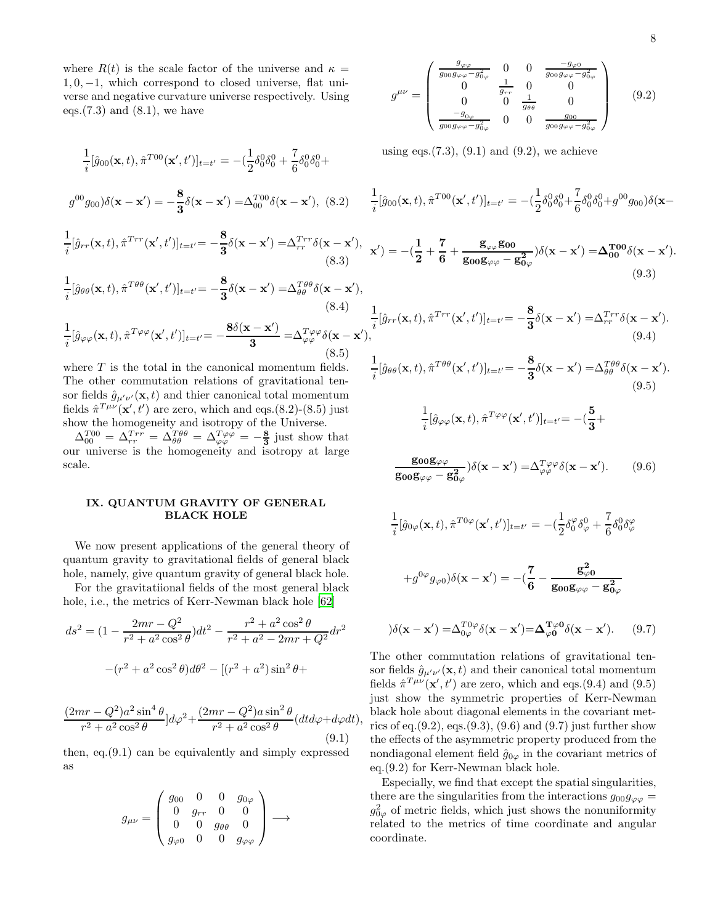where  $R(t)$  is the scale factor of the universe and  $\kappa =$  $1, 0, -1$ , which correspond to closed universe, flat universe and negative curvature universe respectively. Using eqs. $(7.3)$  and  $(8.1)$ , we have

$$
\frac{1}{i}[\hat{g}_{00}(\mathbf{x},t),\hat{\pi}^{T00}(\mathbf{x}',t')]_{t=t'} = -(\frac{1}{2}\delta_0^0\delta_0^0 + \frac{7}{6}\delta_0^0\delta_0^0 + g^{00}g_{00})\delta(\mathbf{x}-\mathbf{x}') = -\frac{8}{3}\delta(\mathbf{x}-\mathbf{x}') = \Delta_{00}^{T00}\delta(\mathbf{x}-\mathbf{x}'),\tag{8.2}
$$
\n
$$
\frac{1}{i}[\hat{g}_{rr}(\mathbf{x},t),\hat{\pi}^{Trr}(\mathbf{x}',t')]_{t=t'} = -\frac{8}{3}\delta(\mathbf{x}-\mathbf{x}') = \Delta_{rr}^{Trr}\delta(\mathbf{x}-\mathbf{x}'),\tag{8.3}
$$
\n
$$
\frac{1}{i}[\hat{g}_{\theta\theta}(\mathbf{x},t),\hat{\pi}^{T\theta\theta}(\mathbf{x}',t')]_{t=t'} = -\frac{8}{3}\delta(\mathbf{x}-\mathbf{x}') = \Delta_{\theta\theta}^{T\theta\theta}\delta(\mathbf{x}-\mathbf{x}'),\tag{8.4}
$$

$$
g^{\mu\nu} = \begin{pmatrix} \frac{g_{\varphi\varphi}}{g_{00}g_{\varphi\varphi} - g_{0\varphi}^2} & 0 & 0 & \frac{-g_{\varphi 0}}{g_{00}g_{\varphi\varphi} - g_{0\varphi}^2} \\ 0 & \frac{1}{g_{rr}} & 0 & 0 \\ 0 & 0 & \frac{1}{g_{\theta\theta}} & 0 \\ \frac{-g_{0\varphi}}{g_{00}g_{\varphi\varphi} - g_{0\varphi}^2} & 0 & 0 & \frac{g_{00}}{g_{00}g_{\varphi\varphi} - g_{0\varphi}^2} \end{pmatrix}
$$
(9.2)

using eqs. $(7.3)$ ,  $(9.1)$  and  $(9.2)$ , we achieve

$$
\frac{1}{i}[\hat{g}_{00}(\mathbf{x},t),\hat{\pi}^{T00}(\mathbf{x}',t')]_{t=t'} = -(\frac{1}{2}\delta_0^0\delta_0^0 + \frac{7}{6}\delta_0^0\delta_0^0 + g^{00}g_{00})\delta(\mathbf{x} - \mathbf{x}^2)\delta_0^0
$$

$$
\mathbf{x}') = -(\frac{1}{2} + \frac{7}{6} + \frac{\mathbf{g}_{\varphi\varphi}\mathbf{g}_{00}}{\mathbf{g}_{00}\mathbf{g}_{\varphi\varphi} - \mathbf{g}_{0\varphi}^2})\delta(\mathbf{x} - \mathbf{x}') = \Delta_{00}^{\text{T00}}\delta(\mathbf{x} - \mathbf{x}').
$$
\n(9.3)

 $\frac{\partial}{\partial \delta}(\mathbf{x}-\mathbf{x}') = \Delta_{rr}^{Trr} \delta(\mathbf{x}-\mathbf{x}').$ 

$$
\frac{1}{i}[\hat{g}_{\varphi\varphi}(\mathbf{x},t),\hat{\pi}^{T\varphi\varphi}(\mathbf{x}',t')]_{t=t'} = -\frac{3}{3}\frac{\delta(\mathbf{x}-\mathbf{x}') - 2\theta\theta}{3} \frac{(\mathbf{x}-\mathbf{x}')}{(\mathbf{x}+\mathbf{x}')}\frac{1}{i}[\hat{g}_{rr}(\mathbf{x},t),\hat{\pi}^{Trr}(\mathbf{x}',t')]_{t=t'} = -\frac{8}{3}
$$
\n
$$
(\mathbf{x},t) \cdot \hat{\pi}^{T\varphi\varphi}(\mathbf{x}',t')|_{t=t'} = -\frac{8\delta(\mathbf{x}-\mathbf{x}')}{3} = \Delta_{\varphi\varphi}^{T\varphi\varphi}\delta(\mathbf{x}-\mathbf{x}'),
$$
\n
$$
(8.5)
$$

where  $T$  is the total in the canonical momentum fields. The other commutation relations of gravitational tensor fields  $\hat{g}_{\mu'\nu'}(\mathbf{x},t)$  and thier canonical total momentum fields  $\hat{\pi}^{T\mu\nu}(\mathbf{x}',t')$  are zero, which and eqs.(8.2)-(8.5) just show the homogeneity and isotropy of the Universe.

 $\Delta_{00}^{T00} = \Delta_{rr}^{Tr\tau} = \Delta_{\theta\theta}^{T\theta\theta} = \Delta_{\varphi\varphi}^{T\varphi\varphi} = -\frac{8}{3}$  just show that our universe is the homogeneity and isotropy at large scale.

## IX. QUANTUM GRAVITY OF GENERAL BLACK HOLE

We now present applications of the general theory of quantum gravity to gravitational fields of general black hole, namely, give quantum gravity of general black hole.

For the gravitatiional fields of the most general black hole, i.e., the metrics of Kerr-Newman black hole [\[62\]](#page-9-24)

$$
ds^{2} = (1 - \frac{2mr - Q^{2}}{r^{2} + a^{2}\cos^{2}\theta})dt^{2} - \frac{r^{2} + a^{2}\cos^{2}\theta}{r^{2} + a^{2} - 2mr + Q^{2}}dr^{2}
$$

$$
-(r^{2} + a^{2}\cos^{2}\theta)d\theta^{2} - [(r^{2} + a^{2})\sin^{2}\theta +
$$

$$
\frac{(2mr - Q^2)a^2\sin^4\theta}{r^2 + a^2\cos^2\theta} \Big]d\varphi^2 + \frac{(2mr - Q^2)a\sin^2\theta}{r^2 + a^2\cos^2\theta} (dtd\varphi + d\varphi dt),\tag{9.1}
$$

then, eq.(9.1) can be equivalently and simply expressed as

$$
g_{\mu\nu} = \begin{pmatrix} g_{00} & 0 & 0 & g_{0\varphi} \\ 0 & g_{rr} & 0 & 0 \\ 0 & 0 & g_{\theta\theta} & 0 \\ g_{\varphi 0} & 0 & 0 & g_{\varphi\varphi} \end{pmatrix} \longrightarrow
$$

(9.4)  
\n
$$
\frac{1}{i}[\hat{g}_{\theta\theta}(\mathbf{x},t),\hat{\pi}^{T\theta\theta}(\mathbf{x}',t')]_{t=t'} = -\frac{8}{3}\delta(\mathbf{x}-\mathbf{x}') = \Delta_{\theta\theta}^{T\theta\theta}\delta(\mathbf{x}-\mathbf{x}').
$$
\n(9.5)

$$
\frac{1}{i}[\hat{g}_{\varphi\varphi}(\mathbf{x},t),\hat{\pi}^{T\varphi\varphi}(\mathbf{x}',t')]_{t=t'}=- (\frac{5}{3}+
$$

$$
\frac{\mathbf{g_{00}}\mathbf{g_{\varphi\varphi}}}{\mathbf{g_{00}}\mathbf{g_{\varphi\varphi}}-\mathbf{g_{0\varphi}^2}})\delta(\mathbf{x}-\mathbf{x}') = \Delta_{\varphi\varphi}^{T\varphi\varphi}\delta(\mathbf{x}-\mathbf{x}').
$$
 (9.6)

$$
\frac{1}{i}[\hat{g}_{0\varphi}(\mathbf{x},t),\hat{\pi}^{T0\varphi}(\mathbf{x}',t')]_{t=t'} = -(\frac{1}{2}\delta_0^{\varphi}\delta_{\varphi}^0 + \frac{7}{6}\delta_0^0\delta_{\varphi}^{\varphi})
$$

$$
+g^{0\varphi}g_{\varphi 0})\delta(\mathbf{x}-\mathbf{x}')=-(\frac{7}{6}-\frac{\mathbf{g}_{\varphi 0}^{2}}{\mathbf{g_{00}}\mathbf{g}_{\varphi\varphi}-\mathbf{g}_{0\varphi}^{2}}
$$

$$
\partial(\mathbf{x} - \mathbf{x}') = \Delta_{0\varphi}^{T0\varphi} \delta(\mathbf{x} - \mathbf{x}') = \Delta_{\varphi 0}^{T\varphi 0} \delta(\mathbf{x} - \mathbf{x}'). \tag{9.7}
$$

The other commutation relations of gravitational tensor fields  $\hat{g}_{\mu'\nu'}(\mathbf{x},t)$  and their canonical total momentum fields  $\hat{\pi}^{T\mu\nu}(\mathbf{x}',t')$  are zero, which and eqs.(9.4) and (9.5) just show the symmetric properties of Kerr-Newman black hole about diagonal elements in the covariant metrics of eq. $(9.2)$ , eqs. $(9.3)$ ,  $(9.6)$  and  $(9.7)$  just further show the effects of the asymmetric property produced from the nondiagonal element field  $\hat{g}_{0\varphi}$  in the covariant metrics of eq.(9.2) for Kerr-Newman black hole.

Especially, we find that except the spatial singularities, there are the singularities from the interactions  $g_{00}g_{\varphi\varphi} =$  $g_{0\varphi}^2$  of metric fields, which just shows the nonuniformity related to the metrics of time coordinate and angular coordinate.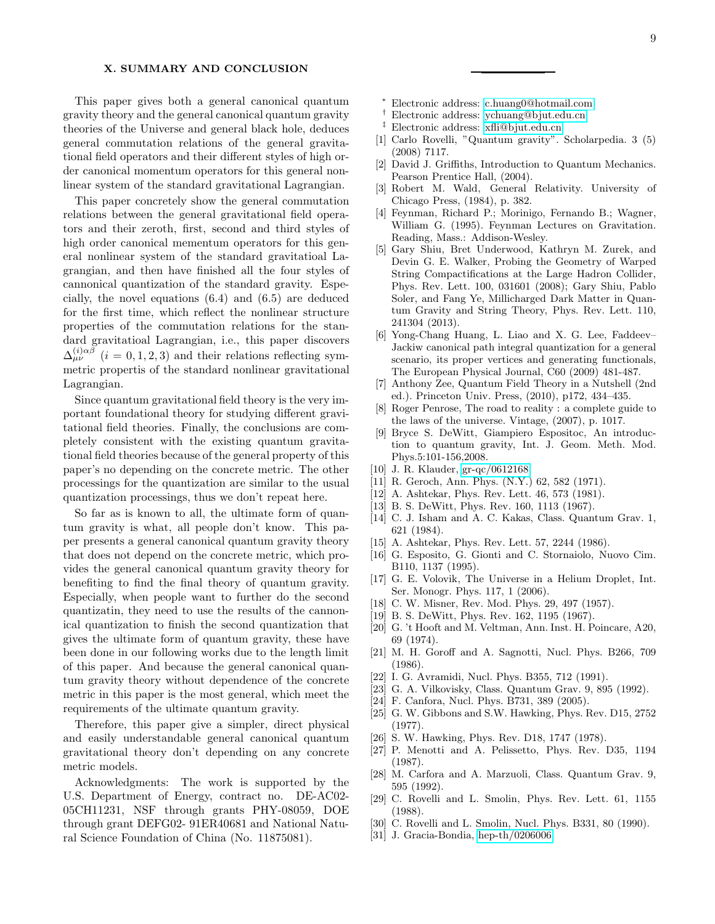## X. SUMMARY AND CONCLUSION

This paper gives both a general canonical quantum gravity theory and the general canonical quantum gravity theories of the Universe and general black hole, deduces general commutation relations of the general gravitational field operators and their different styles of high order canonical momentum operators for this general nonlinear system of the standard gravitational Lagrangian.

This paper concretely show the general commutation relations between the general gravitational field operators and their zeroth, first, second and third styles of high order canonical mementum operators for this general nonlinear system of the standard gravitatioal Lagrangian, and then have finished all the four styles of cannonical quantization of the standard gravity. Especially, the novel equations (6.4) and (6.5) are deduced for the first time, which reflect the nonlinear structure properties of the commutation relations for the standard gravitatioal Lagrangian, i.e., this paper discovers  $\Delta_{\mu\nu}^{(i)\alpha\beta}$  (i = 0, 1, 2, 3) and their relations reflecting symmetric propertis of the standard nonlinear gravitational Lagrangian.

Since quantum gravitational field theory is the very important foundational theory for studying different gravitational field theories. Finally, the conclusions are completely consistent with the existing quantum gravitational field theories because of the general property of this paper's no depending on the concrete metric. The other processings for the quantization are similar to the usual quantization processings, thus we don't repeat here.

So far as is known to all, the ultimate form of quantum gravity is what, all people don't know. This paper presents a general canonical quantum gravity theory that does not depend on the concrete metric, which provides the general canonical quantum gravity theory for benefiting to find the final theory of quantum gravity. Especially, when people want to further do the second quantizatin, they need to use the results of the cannonical quantization to finish the second quantization that gives the ultimate form of quantum gravity, these have been done in our following works due to the length limit of this paper. And because the general canonical quantum gravity theory without dependence of the concrete metric in this paper is the most general, which meet the requirements of the ultimate quantum gravity.

Therefore, this paper give a simpler, direct physical and easily understandable general canonical quantum gravitational theory don't depending on any concrete metric models.

Acknowledgments: The work is supported by the U.S. Department of Energy, contract no. DE-AC02- 05CH11231, NSF through grants PHY-08059, DOE through grant DEFG02- 91ER40681 and National Natural Science Foundation of China (No. 11875081).

- <sup>∗</sup> Electronic address: [c.huang0@hotmail.com](mailto:c.huang0@hotmail.com)
- <span id="page-8-0"></span>† Electronic address: [ychuang@bjut.edu.cn](mailto:ychuang@bjut.edu.cn)
- <span id="page-8-2"></span><span id="page-8-1"></span>‡ Electronic address: [xfli@bjut.edu.cn](mailto:xfli@bjut.edu.cn)
- <span id="page-8-3"></span>[1] Carlo Rovelli, "Quantum gravity". Scholarpedia. 3 (5) (2008) 7117.
- <span id="page-8-4"></span>[2] David J. Griffiths, Introduction to Quantum Mechanics. Pearson Prentice Hall, (2004).
- <span id="page-8-5"></span>[3] Robert M. Wald, General Relativity. University of Chicago Press, (1984), p. 382.
- [4] Feynman, Richard P.; Morinigo, Fernando B.; Wagner, William G. (1995). Feynman Lectures on Gravitation. Reading, Mass.: Addison-Wesley.
- [5] Gary Shiu, Bret Underwood, Kathryn M. Zurek, and Devin G. E. Walker, Probing the Geometry of Warped String Compactifications at the Large Hadron Collider, Phys. Rev. Lett. 100, 031601 (2008); Gary Shiu, Pablo Soler, and Fang Ye, Millicharged Dark Matter in Quantum Gravity and String Theory, Phys. Rev. Lett. 110, 241304 (2013).
- <span id="page-8-6"></span>[6] Yong-Chang Huang, L. Liao and X. G. Lee, Faddeev– Jackiw canonical path integral quantization for a general scenario, its proper vertices and generating functionals, The European Physical Journal, C60 (2009) 481-487.
- <span id="page-8-7"></span>[7] Anthony Zee, Quantum Field Theory in a Nutshell (2nd ed.). Princeton Univ. Press, (2010), p172, 434–435.
- <span id="page-8-8"></span>[8] Roger Penrose, The road to reality : a complete guide to the laws of the universe. Vintage, (2007), p. 1017.
- <span id="page-8-9"></span>[9] Bryce S. DeWitt, Giampiero Espositoc, An introduction to quantum gravity, Int. J. Geom. Meth. Mod. Phys.5:101-156,2008.
- <span id="page-8-10"></span>[10] J. R. Klauder, [gr-qc/0612168.](http://arxiv.org/abs/gr-qc/0612168)
- <span id="page-8-11"></span>[11] R. Geroch, Ann. Phys. (N.Y.) 62, 582 (1971).
- <span id="page-8-12"></span>[12] A. Ashtekar, Phys. Rev. Lett. 46, 573 (1981).
- <span id="page-8-13"></span>[13] B. S. DeWitt, Phys. Rev. 160, 1113 (1967).
- [14] C. J. Isham and A. C. Kakas, Class. Quantum Grav. 1, 621 (1984).
- [15] A. Ashtekar, Phys. Rev. Lett. 57, 2244 (1986).
- <span id="page-8-14"></span>[16] G. Esposito, G. Gionti and C. Stornaiolo, Nuovo Cim. B110, 1137 (1995).
- <span id="page-8-15"></span>[17] G. E. Volovik, The Universe in a Helium Droplet, Int. Ser. Monogr. Phys. 117, 1 (2006).
- <span id="page-8-16"></span>[18] C. W. Misner, Rev. Mod. Phys. 29, 497 (1957).
- [19] B. S. DeWitt, Phys. Rev. 162, 1195 (1967).
- [20] G. 't Hooft and M. Veltman, Ann. Inst. H. Poincare, A20, 69 (1974).
- [21] M. H. Goroff and A. Sagnotti, Nucl. Phys. B266, 709 (1986).
- [22] I. G. Avramidi, Nucl. Phys. B355, 712 (1991).
- [23] G. A. Vilkovisky, Class. Quantum Grav. 9, 895 (1992).
- <span id="page-8-17"></span>[24] F. Canfora, Nucl. Phys. B731, 389 (2005).
- <span id="page-8-18"></span>[25] G. W. Gibbons and S.W. Hawking, Phys. Rev. D15, 2752 (1977).
- <span id="page-8-19"></span>[26] S. W. Hawking, Phys. Rev. D18, 1747 (1978).
- <span id="page-8-20"></span>[27] P. Menotti and A. Pelissetto, Phys. Rev. D35, 1194 (1987).
- <span id="page-8-21"></span>[28] M. Carfora and A. Marzuoli, Class. Quantum Grav. 9, 595 (1992).
- <span id="page-8-22"></span>[29] C. Rovelli and L. Smolin, Phys. Rev. Lett. 61, 1155 (1988).
- <span id="page-8-23"></span>[30] C. Rovelli and L. Smolin, Nucl. Phys. B331, 80 (1990).
- <span id="page-8-24"></span>[31] J. Gracia-Bondia, [hep-th/0206006.](http://arxiv.org/abs/hep-th/0206006)